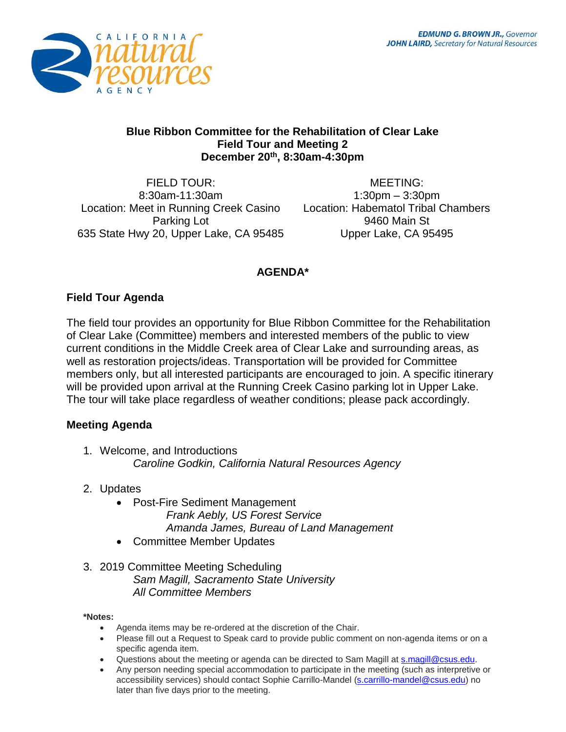

#### **Blue Ribbon Committee for the Rehabilitation of Clear Lake Field Tour and Meeting 2 December 20th, 8:30am-4:30pm**

FIELD TOUR: 8:30am-11:30am Location: Meet in Running Creek Casino Parking Lot 635 State Hwy 20, Upper Lake, CA 95485

MEETING: 1:30pm – 3:30pm Location: Habematol Tribal Chambers 9460 Main St Upper Lake, CA 95495

# **AGENDA\***

## **Field Tour Agenda**

The field tour provides an opportunity for Blue Ribbon Committee for the Rehabilitation of Clear Lake (Committee) members and interested members of the public to view current conditions in the Middle Creek area of Clear Lake and surrounding areas, as well as restoration projects/ideas. Transportation will be provided for Committee members only, but all interested participants are encouraged to join. A specific itinerary will be provided upon arrival at the Running Creek Casino parking lot in Upper Lake. The tour will take place regardless of weather conditions; please pack accordingly.

### **Meeting Agenda**

- 1. Welcome, and Introductions *Caroline Godkin, California Natural Resources Agency*
- 2. Updates
	- Post-Fire Sediment Management *Frank Aebly, US Forest Service Amanda James, Bureau of Land Management*
	- Committee Member Updates
- 3. 2019 Committee Meeting Scheduling *Sam Magill, Sacramento State University All Committee Members*

#### **\*Notes:**

- Agenda items may be re-ordered at the discretion of the Chair.
- Please fill out a Request to Speak card to provide public comment on non-agenda items or on a specific agenda item.
- Questions about the meeting or agenda can be directed to Sam Magill at [s.magill@csus.edu.](mailto:s.magill@csus.edu)
- Any person needing special accommodation to participate in the meeting (such as interpretive or accessibility services) should contact Sophie Carrillo-Mandel [\(s.carrillo-mandel@csus.edu\)](mailto:s.carrillo-mandel@csus.edu) no later than five days prior to the meeting.